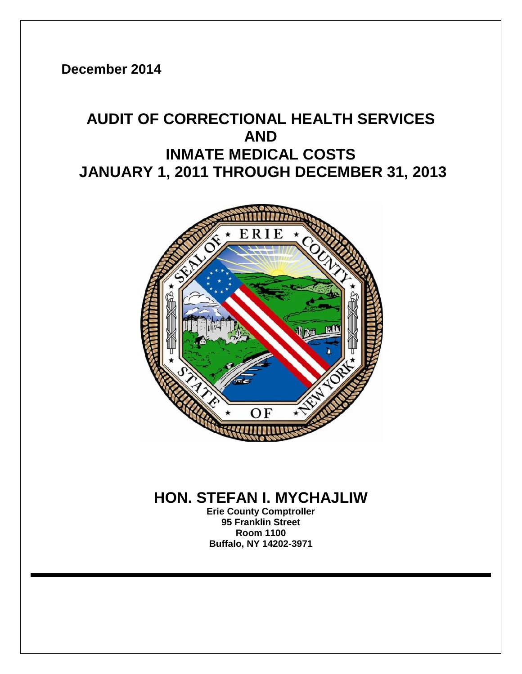**December 2014**

# **AUDIT OF CORRECTIONAL HEALTH SERVICES AND INMATE MEDICAL COSTS JANUARY 1, 2011 THROUGH DECEMBER 31, 2013**



## **HON. STEFAN I. MYCHAJLIW**

**Erie County Comptroller 95 Franklin Street Room 1100 Buffalo, NY 14202-3971**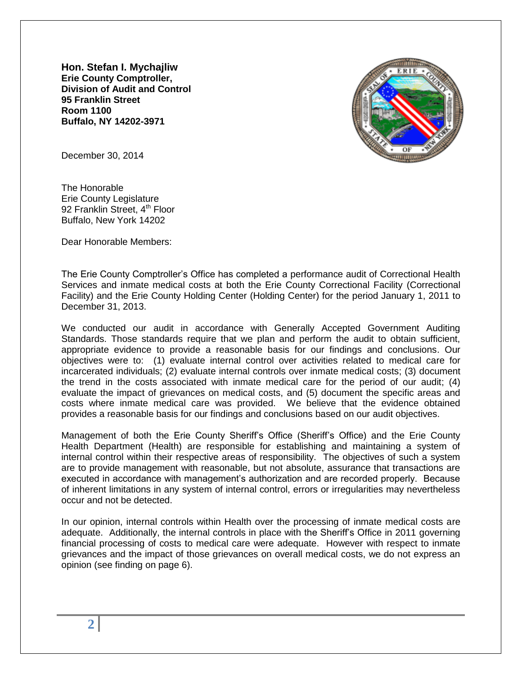**Hon. Stefan I. Mychajliw Erie County Comptroller, Division of Audit and Control 95 Franklin Street Room 1100 Buffalo, NY 14202-3971**



December 30, 2014

The Honorable Erie County Legislature 92 Franklin Street, 4<sup>th</sup> Floor Buffalo, New York 14202

Dear Honorable Members:

The Erie County Comptroller's Office has completed a performance audit of Correctional Health Services and inmate medical costs at both the Erie County Correctional Facility (Correctional Facility) and the Erie County Holding Center (Holding Center) for the period January 1, 2011 to December 31, 2013.

We conducted our audit in accordance with Generally Accepted Government Auditing Standards. Those standards require that we plan and perform the audit to obtain sufficient, appropriate evidence to provide a reasonable basis for our findings and conclusions. Our objectives were to: (1) evaluate internal control over activities related to medical care for incarcerated individuals; (2) evaluate internal controls over inmate medical costs; (3) document the trend in the costs associated with inmate medical care for the period of our audit; (4) evaluate the impact of grievances on medical costs, and (5) document the specific areas and costs where inmate medical care was provided. We believe that the evidence obtained provides a reasonable basis for our findings and conclusions based on our audit objectives.

Management of both the Erie County Sheriff's Office (Sheriff's Office) and the Erie County Health Department (Health) are responsible for establishing and maintaining a system of internal control within their respective areas of responsibility. The objectives of such a system are to provide management with reasonable, but not absolute, assurance that transactions are executed in accordance with management's authorization and are recorded properly. Because of inherent limitations in any system of internal control, errors or irregularities may nevertheless occur and not be detected.

In our opinion, internal controls within Health over the processing of inmate medical costs are adequate. Additionally, the internal controls in place with the Sheriff's Office in 2011 governing financial processing of costs to medical care were adequate. However with respect to inmate grievances and the impact of those grievances on overall medical costs, we do not express an opinion (see finding on page 6).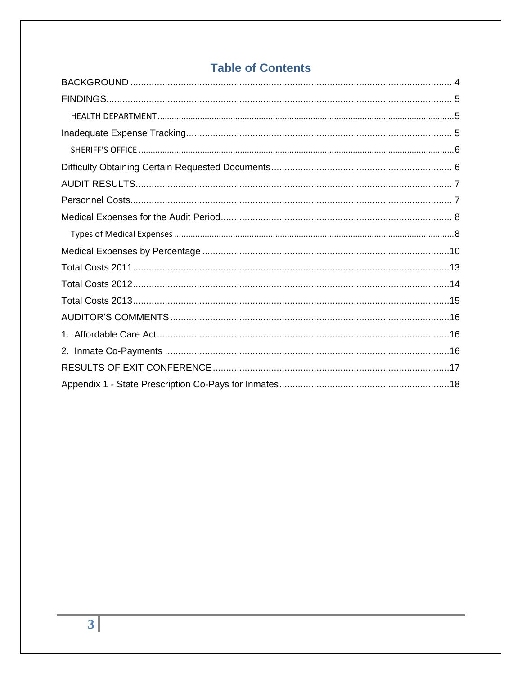## **Table of Contents**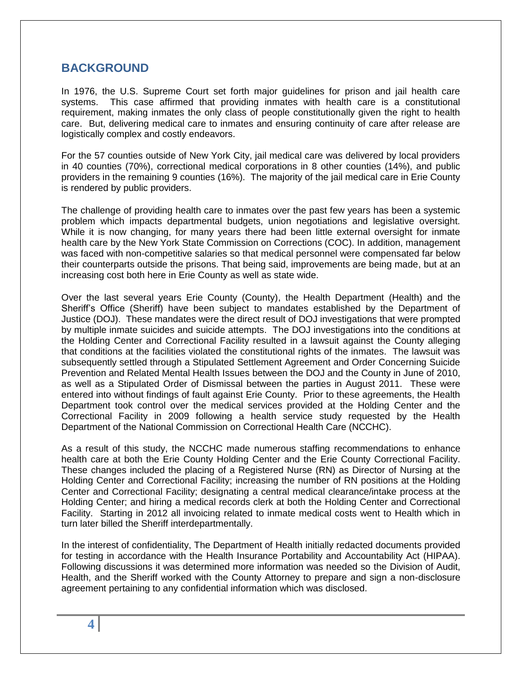#### <span id="page-3-0"></span>**BACKGROUND**

In 1976, the U.S. Supreme Court set forth major guidelines for prison and jail health care systems. This case affirmed that providing inmates with health care is a constitutional requirement, making inmates the only class of people constitutionally given the right to health care. But, delivering medical care to inmates and ensuring continuity of care after release are logistically complex and costly endeavors.

For the 57 counties outside of New York City, jail medical care was delivered by local providers in 40 counties (70%), correctional medical corporations in 8 other counties (14%), and public providers in the remaining 9 counties (16%). The majority of the jail medical care in Erie County is rendered by public providers.

The challenge of providing health care to inmates over the past few years has been a systemic problem which impacts departmental budgets, union negotiations and legislative oversight. While it is now changing, for many years there had been little external oversight for inmate health care by the New York State Commission on Corrections (COC). In addition, management was faced with non-competitive salaries so that medical personnel were compensated far below their counterparts outside the prisons. That being said, improvements are being made, but at an increasing cost both here in Erie County as well as state wide.

Over the last several years Erie County (County), the Health Department (Health) and the Sheriff's Office (Sheriff) have been subject to mandates established by the Department of Justice (DOJ). These mandates were the direct result of DOJ investigations that were prompted by multiple inmate suicides and suicide attempts. The DOJ investigations into the conditions at the Holding Center and Correctional Facility resulted in a lawsuit against the County alleging that conditions at the facilities violated the constitutional rights of the inmates. The lawsuit was subsequently settled through a Stipulated Settlement Agreement and Order Concerning Suicide Prevention and Related Mental Health Issues between the DOJ and the County in June of 2010, as well as a Stipulated Order of Dismissal between the parties in August 2011. These were entered into without findings of fault against Erie County. Prior to these agreements, the Health Department took control over the medical services provided at the Holding Center and the Correctional Facility in 2009 following a health service study requested by the Health Department of the National Commission on Correctional Health Care (NCCHC).

As a result of this study, the NCCHC made numerous staffing recommendations to enhance health care at both the Erie County Holding Center and the Erie County Correctional Facility. These changes included the placing of a Registered Nurse (RN) as Director of Nursing at the Holding Center and Correctional Facility; increasing the number of RN positions at the Holding Center and Correctional Facility; designating a central medical clearance/intake process at the Holding Center; and hiring a medical records clerk at both the Holding Center and Correctional Facility. Starting in 2012 all invoicing related to inmate medical costs went to Health which in turn later billed the Sheriff interdepartmentally.

In the interest of confidentiality, The Department of Health initially redacted documents provided for testing in accordance with the Health Insurance Portability and Accountability Act (HIPAA). Following discussions it was determined more information was needed so the Division of Audit, Health, and the Sheriff worked with the County Attorney to prepare and sign a non-disclosure agreement pertaining to any confidential information which was disclosed.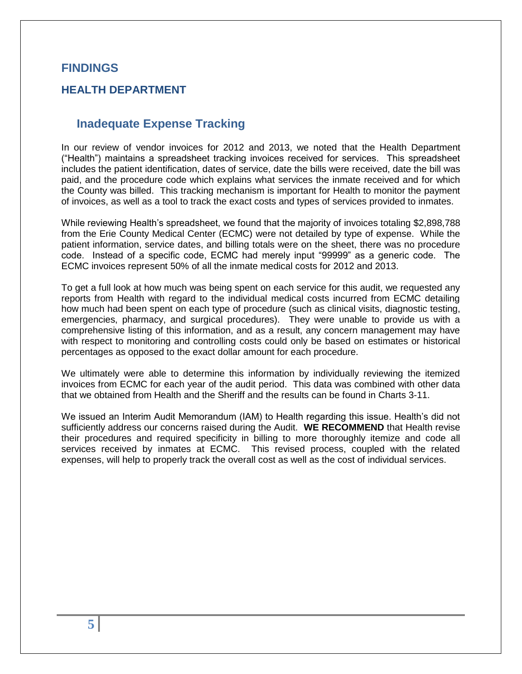#### <span id="page-4-0"></span>**FINDINGS**

#### <span id="page-4-2"></span><span id="page-4-1"></span>**HEALTH DEPARTMENT**

#### **Inadequate Expense Tracking**

In our review of vendor invoices for 2012 and 2013, we noted that the Health Department (―Health‖) maintains a spreadsheet tracking invoices received for services. This spreadsheet includes the patient identification, dates of service, date the bills were received, date the bill was paid, and the procedure code which explains what services the inmate received and for which the County was billed. This tracking mechanism is important for Health to monitor the payment of invoices, as well as a tool to track the exact costs and types of services provided to inmates.

While reviewing Health's spreadsheet, we found that the majority of invoices totaling \$2,898,788 from the Erie County Medical Center (ECMC) were not detailed by type of expense. While the patient information, service dates, and billing totals were on the sheet, there was no procedure code. Instead of a specific code, ECMC had merely input "99999" as a generic code. The ECMC invoices represent 50% of all the inmate medical costs for 2012 and 2013.

To get a full look at how much was being spent on each service for this audit, we requested any reports from Health with regard to the individual medical costs incurred from ECMC detailing how much had been spent on each type of procedure (such as clinical visits, diagnostic testing, emergencies, pharmacy, and surgical procedures). They were unable to provide us with a comprehensive listing of this information, and as a result, any concern management may have with respect to monitoring and controlling costs could only be based on estimates or historical percentages as opposed to the exact dollar amount for each procedure.

We ultimately were able to determine this information by individually reviewing the itemized invoices from ECMC for each year of the audit period. This data was combined with other data that we obtained from Health and the Sheriff and the results can be found in Charts 3-11.

We issued an Interim Audit Memorandum (IAM) to Health regarding this issue. Health's did not sufficiently address our concerns raised during the Audit. **WE RECOMMEND** that Health revise their procedures and required specificity in billing to more thoroughly itemize and code all services received by inmates at ECMC. This revised process, coupled with the related expenses, will help to properly track the overall cost as well as the cost of individual services.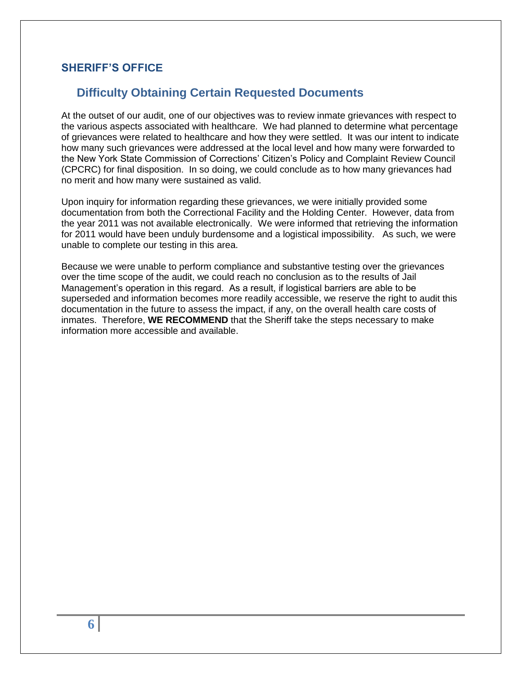#### <span id="page-5-0"></span>**SHERIFF'S OFFICE**

## **Difficulty Obtaining Certain Requested Documents**

At the outset of our audit, one of our objectives was to review inmate grievances with respect to the various aspects associated with healthcare. We had planned to determine what percentage of grievances were related to healthcare and how they were settled. It was our intent to indicate how many such grievances were addressed at the local level and how many were forwarded to the New York State Commission of Corrections' Citizen's Policy and Complaint Review Council (CPCRC) for final disposition. In so doing, we could conclude as to how many grievances had no merit and how many were sustained as valid.

Upon inquiry for information regarding these grievances, we were initially provided some documentation from both the Correctional Facility and the Holding Center. However, data from the year 2011 was not available electronically. We were informed that retrieving the information for 2011 would have been unduly burdensome and a logistical impossibility. As such, we were unable to complete our testing in this area.

Because we were unable to perform compliance and substantive testing over the grievances over the time scope of the audit, we could reach no conclusion as to the results of Jail Management's operation in this regard. As a result, if logistical barriers are able to be superseded and information becomes more readily accessible, we reserve the right to audit this documentation in the future to assess the impact, if any, on the overall health care costs of inmates. Therefore, **WE RECOMMEND** that the Sheriff take the steps necessary to make information more accessible and available.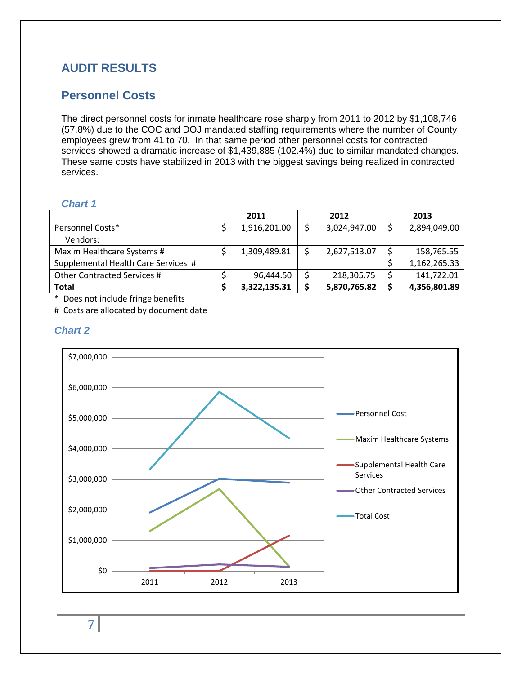## <span id="page-6-0"></span>**AUDIT RESULTS**

## <span id="page-6-1"></span>**Personnel Costs**

The direct personnel costs for inmate healthcare rose sharply from 2011 to 2012 by \$1,108,746 (57.8%) due to the COC and DOJ mandated staffing requirements where the number of County employees grew from 41 to 70. In that same period other personnel costs for contracted services showed a dramatic increase of \$1,439,885 (102.4%) due to similar mandated changes. These same costs have stabilized in 2013 with the biggest savings being realized in contracted services.

#### *Chart 1*

|                                     | 2011         | 2012         | 2013         |
|-------------------------------------|--------------|--------------|--------------|
| Personnel Costs*                    | 1,916,201.00 | 3,024,947.00 | 2,894,049.00 |
| Vendors:                            |              |              |              |
| Maxim Healthcare Systems #          | 1,309,489.81 | 2,627,513.07 | 158,765.55   |
| Supplemental Health Care Services # |              |              | 1,162,265.33 |
| Other Contracted Services #         | 96,444.50    | 218,305.75   | 141,722.01   |
| Total                               | 3,322,135.31 | 5,870,765.82 | 4,356,801.89 |

\* Does not include fringe benefits

# Costs are allocated by document date

#### *Chart 2*



**7**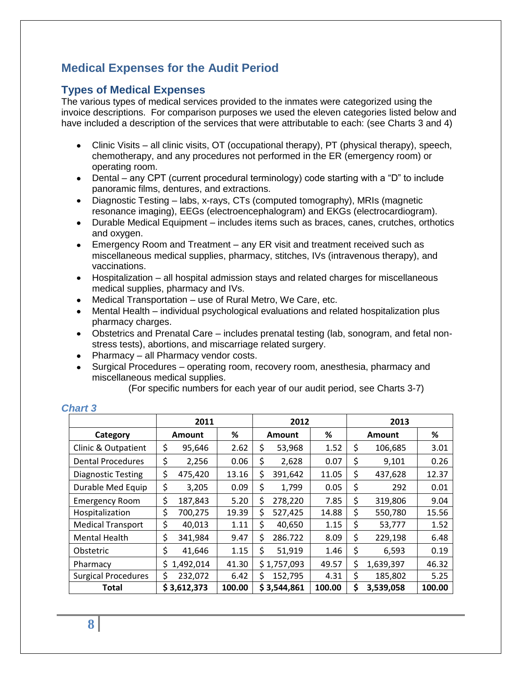## <span id="page-7-0"></span>**Medical Expenses for the Audit Period**

#### <span id="page-7-1"></span>**Types of Medical Expenses**

The various types of medical services provided to the inmates were categorized using the invoice descriptions. For comparison purposes we used the eleven categories listed below and have included a description of the services that were attributable to each: (see Charts 3 and 4)

- Clinic Visits all clinic visits, OT (occupational therapy), PT (physical therapy), speech, chemotherapy, and any procedures not performed in the ER (emergency room) or operating room.
- Dental any CPT (current procedural terminology) code starting with a "D" to include panoramic films, dentures, and extractions.
- Diagnostic Testing labs, x-rays, CTs (computed tomography), MRIs (magnetic resonance imaging), EEGs (electroencephalogram) and EKGs (electrocardiogram).
- Durable Medical Equipment includes items such as braces, canes, crutches, orthotics and oxygen.
- Emergency Room and Treatment any ER visit and treatment received such as miscellaneous medical supplies, pharmacy, stitches, IVs (intravenous therapy), and vaccinations.
- Hospitalization all hospital admission stays and related charges for miscellaneous medical supplies, pharmacy and IVs.
- Medical Transportation use of Rural Metro, We Care, etc.
- Mental Health individual psychological evaluations and related hospitalization plus pharmacy charges.
- Obstetrics and Prenatal Care includes prenatal testing (lab, sonogram, and fetal nonstress tests), abortions, and miscarriage related surgery.
- Pharmacy all Pharmacy vendor costs.
- Surgical Procedures operating room, recovery room, anesthesia, pharmacy and miscellaneous medical supplies.

(For specific numbers for each year of our audit period, see Charts 3-7)

|                            | 2011 |               |        | 2012 |               |        | 2013          |           |        |  |
|----------------------------|------|---------------|--------|------|---------------|--------|---------------|-----------|--------|--|
| Category                   |      | <b>Amount</b> | ℅      |      | <b>Amount</b> | %      | <b>Amount</b> |           | %      |  |
| Clinic & Outpatient        | \$   | 95,646        | 2.62   | \$   | 53,968        | 1.52   | \$            | 106,685   | 3.01   |  |
| <b>Dental Procedures</b>   | \$   | 2,256         | 0.06   | \$   | 2,628         | 0.07   | \$            | 9,101     | 0.26   |  |
| <b>Diagnostic Testing</b>  | \$   | 475,420       | 13.16  | \$   | 391,642       | 11.05  | \$            | 437,628   | 12.37  |  |
| Durable Med Equip          | \$   | 3,205         | 0.09   | \$   | 1,799         | 0.05   | \$            | 292       | 0.01   |  |
| <b>Emergency Room</b>      | \$   | 187,843       | 5.20   | \$   | 278,220       | 7.85   | \$            | 319,806   | 9.04   |  |
| Hospitalization            | \$   | 700,275       | 19.39  | \$   | 527,425       | 14.88  | \$            | 550,780   | 15.56  |  |
| <b>Medical Transport</b>   | \$   | 40,013        | 1.11   | \$   | 40,650        | 1.15   | \$            | 53,777    | 1.52   |  |
| <b>Mental Health</b>       | \$   | 341,984       | 9.47   | \$   | 286.722       | 8.09   | \$            | 229,198   | 6.48   |  |
| Obstetric                  | \$   | 41,646        | 1.15   | \$   | 51,919        | 1.46   | \$            | 6,593     | 0.19   |  |
| Pharmacy                   | S.   | 1,492,014     | 41.30  |      | \$1,757,093   | 49.57  | \$            | 1,639,397 | 46.32  |  |
| <b>Surgical Procedures</b> | \$   | 232,072       | 6.42   | S    | 152,795       | 4.31   | \$            | 185,802   | 5.25   |  |
| Total                      |      | \$3,612,373   | 100.00 |      | \$3,544,861   | 100.00 | \$            | 3,539,058 | 100.00 |  |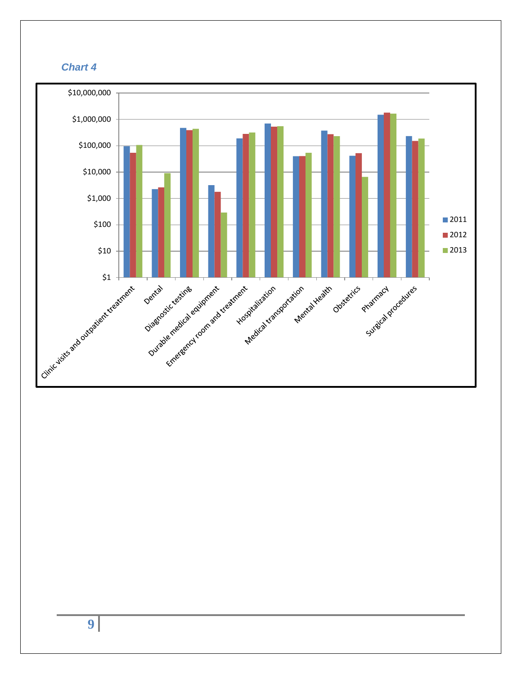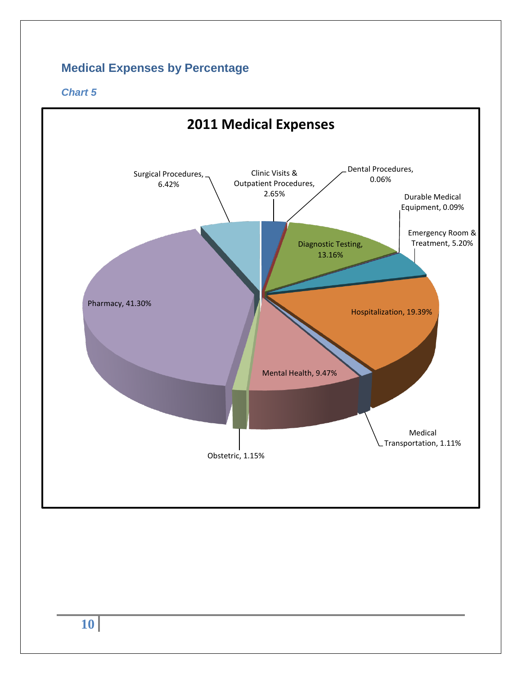## <span id="page-9-0"></span>**Medical Expenses by Percentage**

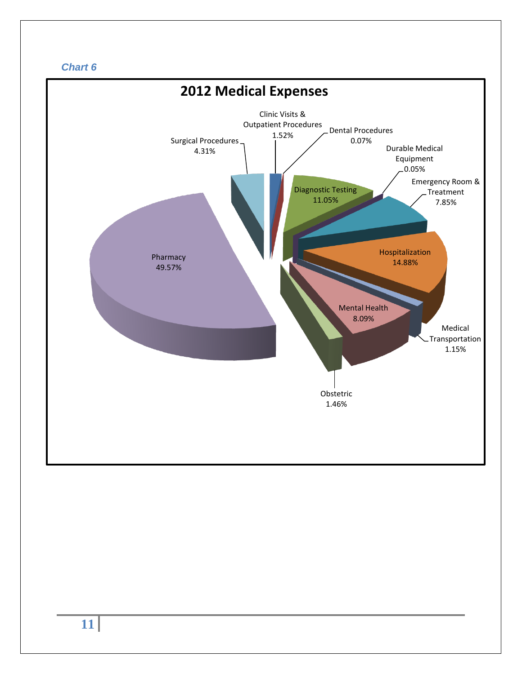

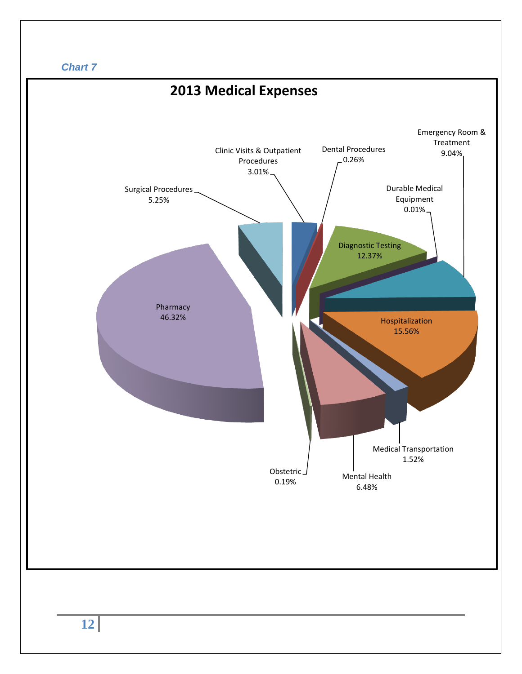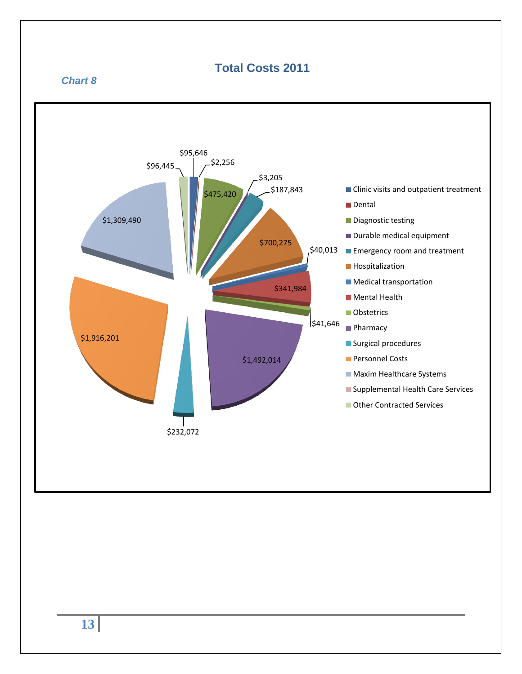## <span id="page-12-0"></span>**Total Costs 2011**

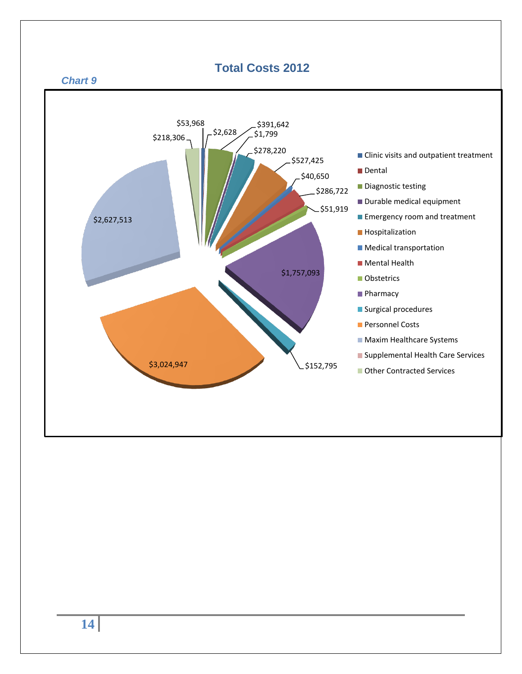<span id="page-13-0"></span>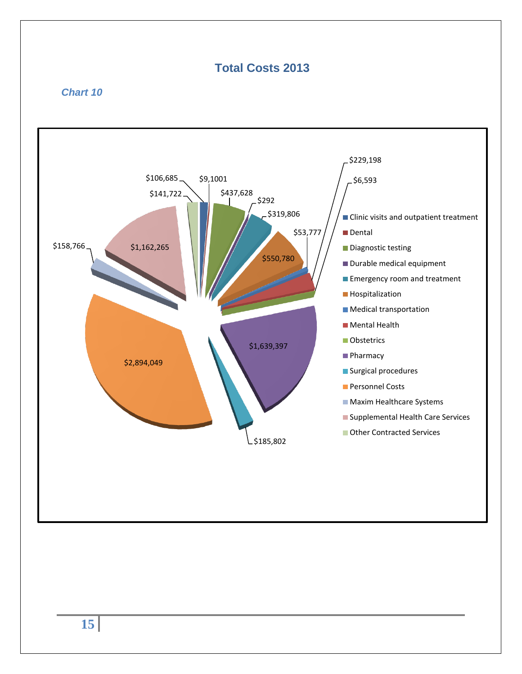## <span id="page-14-0"></span>**Total Costs 2013**

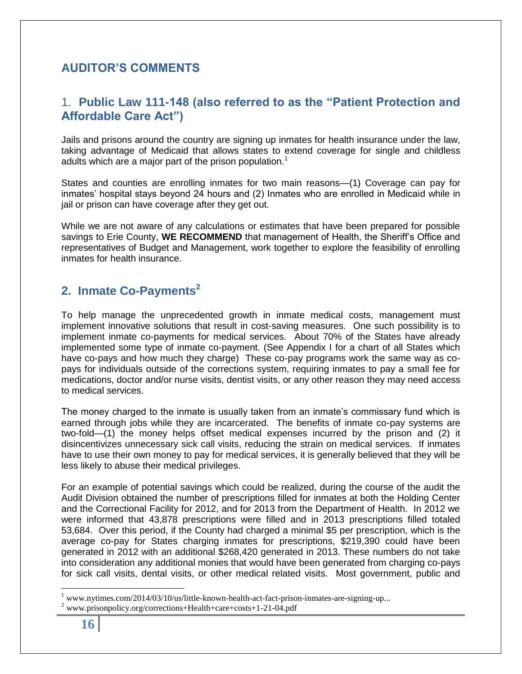## <span id="page-15-1"></span><span id="page-15-0"></span>**AUDITOR'S COMMENTS**

## 1. **Public Law 111-148 (also referred to as the "Patient Protection and Affordable Care Act")**

<span id="page-15-2"></span>Jails and prisons around the country are signing up inmates for health insurance under the law, taking advantage of Medicaid that allows states to extend coverage for single and childless adults which are a major part of the prison population.<sup>1</sup>

States and counties are enrolling inmates for two main reasons—(1) Coverage can pay for inmates' hospital stays beyond 24 hours and (2) Inmates who are enrolled in Medicaid while in jail or prison can have coverage after they get out.

While we are not aware of any calculations or estimates that have been prepared for possible savings to Erie County, **WE RECOMMEND** that management of Health, the Sheriff's Office and representatives of Budget and Management, work together to explore the feasibility of enrolling inmates for health insurance.

## **2. Inmate Co-Payments<sup>2</sup>**

To help manage the unprecedented growth in inmate medical costs, management must implement innovative solutions that result in cost-saving measures. One such possibility is to implement inmate co-payments for medical services. About 70% of the States have already implemented some type of inmate co-payment. (See Appendix I for a chart of all States which have co-pays and how much they charge) These co-pay programs work the same way as copays for individuals outside of the corrections system, requiring inmates to pay a small fee for medications, doctor and/or nurse visits, dentist visits, or any other reason they may need access to medical services.

The money charged to the inmate is usually taken from an inmate's commissary fund which is earned through jobs while they are incarcerated. The benefits of inmate co-pay systems are two-fold—(1) the money helps offset medical expenses incurred by the prison and (2) it disincentivizes unnecessary sick call visits, reducing the strain on medical services. If inmates have to use their own money to pay for medical services, it is generally believed that they will be less likely to abuse their medical privileges.

For an example of potential savings which could be realized, during the course of the audit the Audit Division obtained the number of prescriptions filled for inmates at both the Holding Center and the Correctional Facility for 2012, and for 2013 from the Department of Health. In 2012 we were informed that 43,878 prescriptions were filled and in 2013 prescriptions filled totaled 53,684. Over this period, if the County had charged a minimal \$5 per prescription, which is the average co-pay for States charging inmates for prescriptions, \$219,390 could have been generated in 2012 with an additional \$268,420 generated in 2013. These numbers do not take into consideration any additional monies that would have been generated from charging co-pays for sick call visits, dental visits, or other medical related visits. Most government, public and

 $\overline{a}$ 

www.nytimes.com/2014/03/10/us/little-known-health-act-fact-prison-inmates-are-signing-up...

<sup>2</sup> www.prisonpolicy.org/corrections+Health+care+costs+1-21-04.pdf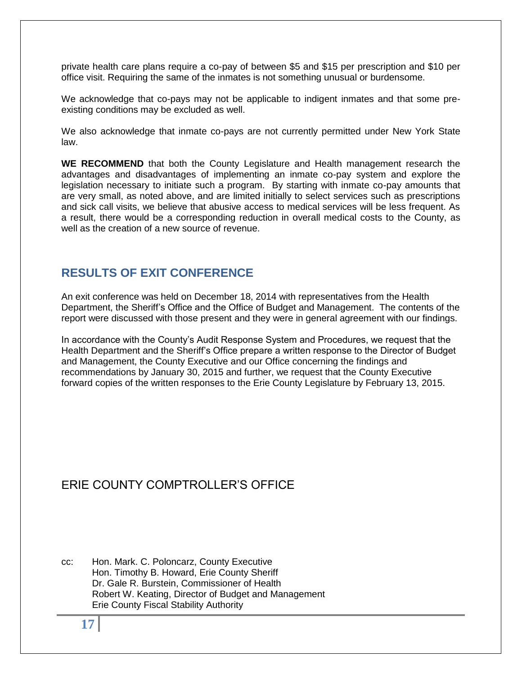private health care plans require a co-pay of between \$5 and \$15 per prescription and \$10 per office visit. Requiring the same of the inmates is not something unusual or burdensome.

We acknowledge that co-pays may not be applicable to indigent inmates and that some preexisting conditions may be excluded as well.

We also acknowledge that inmate co-pays are not currently permitted under New York State law.

**WE RECOMMEND** that both the County Legislature and Health management research the advantages and disadvantages of implementing an inmate co-pay system and explore the legislation necessary to initiate such a program. By starting with inmate co-pay amounts that are very small, as noted above, and are limited initially to select services such as prescriptions and sick call visits, we believe that abusive access to medical services will be less frequent. As a result, there would be a corresponding reduction in overall medical costs to the County, as well as the creation of a new source of revenue.

## <span id="page-16-0"></span>**RESULTS OF EXIT CONFERENCE**

An exit conference was held on December 18, 2014 with representatives from the Health Department, the Sheriff's Office and the Office of Budget and Management. The contents of the report were discussed with those present and they were in general agreement with our findings.

In accordance with the County's Audit Response System and Procedures, we request that the Health Department and the Sheriff's Office prepare a written response to the Director of Budget and Management, the County Executive and our Office concerning the findings and recommendations by January 30, 2015 and further, we request that the County Executive forward copies of the written responses to the Erie County Legislature by February 13, 2015.

### ERIF COUNTY COMPTROLLER'S OFFICE

cc: Hon. Mark. C. Poloncarz, County Executive Hon. Timothy B. Howard, Erie County Sheriff Dr. Gale R. Burstein, Commissioner of Health Robert W. Keating, Director of Budget and Management Erie County Fiscal Stability Authority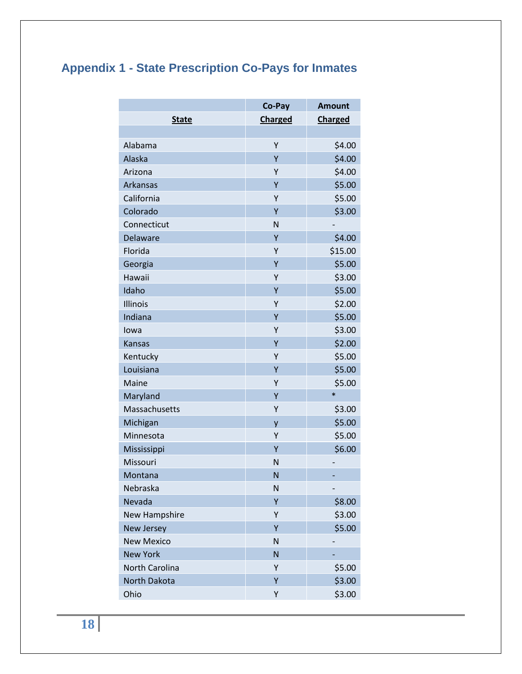# <span id="page-17-0"></span>**Appendix 1 - State Prescription Co-Pays for Inmates**

|                     | Co-Pay         | <b>Amount</b>  |
|---------------------|----------------|----------------|
| <b>State</b>        | <b>Charged</b> | <b>Charged</b> |
|                     |                |                |
| Alabama             | Υ              | \$4.00         |
| Alaska              | Y              | \$4.00         |
| Arizona             | Υ              | \$4.00         |
| Arkansas            | Y              | \$5.00         |
| California          | Ý              | \$5.00         |
| Colorado            | Ÿ              | \$3.00         |
| Connecticut         | N              |                |
| Delaware            | Y              | \$4.00         |
| Florida             | Υ              | \$15.00        |
| Georgia             | Ý              | \$5.00         |
| Hawaii              | Y              | \$3.00         |
| Idaho               | Ÿ              | \$5.00         |
| Illinois            | Υ              | \$2.00         |
| Indiana             | Y              | \$5.00         |
| lowa                | Υ              | \$3.00         |
| <b>Kansas</b>       | Y              | \$2.00         |
| Kentucky            | Y              | \$5.00         |
| Louisiana           | Ÿ              | \$5.00         |
| Maine               | Υ              | \$5.00         |
| Maryland            | Y              | $\ast$         |
| Massachusetts       | Υ              | \$3.00         |
| Michigan            | y              | \$5.00         |
| Minnesota           | Υ              | \$5.00         |
| Mississippi         | Ÿ              | \$6.00         |
| Missouri            | N              |                |
| Montana             | N              |                |
| Nebraska            | N              |                |
| Nevada              | Y              | \$8.00         |
| New Hampshire       | Υ              | \$3.00         |
| <b>New Jersey</b>   | Υ              | \$5.00         |
| <b>New Mexico</b>   | N              |                |
| <b>New York</b>     | N              |                |
| North Carolina      | Υ              | \$5.00         |
| <b>North Dakota</b> | Ÿ              | \$3.00         |
| Ohio                | Υ              | \$3.00         |